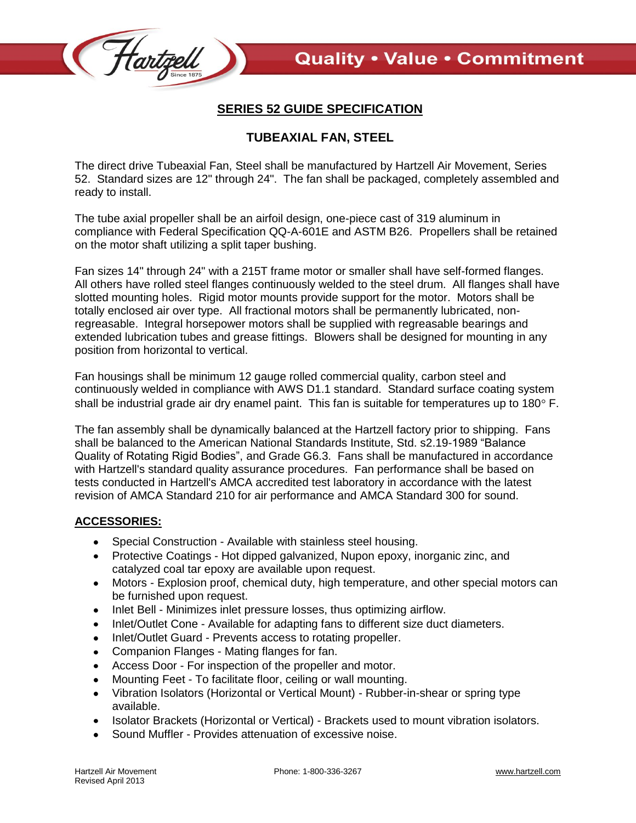

## **SERIES 52 GUIDE SPECIFICATION**

## **TUBEAXIAL FAN, STEEL**

The direct drive Tubeaxial Fan, Steel shall be manufactured by Hartzell Air Movement, Series 52. Standard sizes are 12" through 24". The fan shall be packaged, completely assembled and ready to install.

The tube axial propeller shall be an airfoil design, one-piece cast of 319 aluminum in compliance with Federal Specification QQ-A-601E and ASTM B26. Propellers shall be retained on the motor shaft utilizing a split taper bushing.

Fan sizes 14" through 24" with a 215T frame motor or smaller shall have self-formed flanges. All others have rolled steel flanges continuously welded to the steel drum. All flanges shall have slotted mounting holes. Rigid motor mounts provide support for the motor. Motors shall be totally enclosed air over type. All fractional motors shall be permanently lubricated, nonregreasable. Integral horsepower motors shall be supplied with regreasable bearings and extended lubrication tubes and grease fittings. Blowers shall be designed for mounting in any position from horizontal to vertical.

Fan housings shall be minimum 12 gauge rolled commercial quality, carbon steel and continuously welded in compliance with AWS D1.1 standard. Standard surface coating system shall be industrial grade air dry enamel paint. This fan is suitable for temperatures up to 180 $\degree$  F.

The fan assembly shall be dynamically balanced at the Hartzell factory prior to shipping. Fans shall be balanced to the American National Standards Institute, Std. s2.19-1989 "Balance Quality of Rotating Rigid Bodies", and Grade G6.3. Fans shall be manufactured in accordance with Hartzell's standard quality assurance procedures. Fan performance shall be based on tests conducted in Hartzell's AMCA accredited test laboratory in accordance with the latest revision of AMCA Standard 210 for air performance and AMCA Standard 300 for sound.

## **ACCESSORIES:**

- Special Construction Available with stainless steel housing.
- Protective Coatings Hot dipped galvanized, Nupon epoxy, inorganic zinc, and catalyzed coal tar epoxy are available upon request.
- Motors Explosion proof, chemical duty, high temperature, and other special motors can be furnished upon request.
- Inlet Bell Minimizes inlet pressure losses, thus optimizing airflow.  $\bullet$
- Inlet/Outlet Cone Available for adapting fans to different size duct diameters.
- Inlet/Outlet Guard Prevents access to rotating propeller.  $\bullet$
- Companion Flanges Mating flanges for fan.
- Access Door For inspection of the propeller and motor.  $\bullet$
- Mounting Feet To facilitate floor, ceiling or wall mounting.
- Vibration Isolators (Horizontal or Vertical Mount) Rubber-in-shear or spring type  $\bullet$ available.
- Isolator Brackets (Horizontal or Vertical) Brackets used to mount vibration isolators.
- Sound Muffler Provides attenuation of excessive noise.